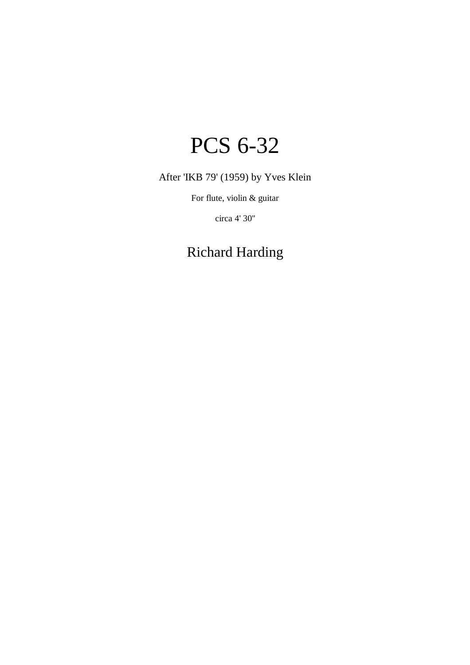## PCS 6-32

After 'IKB 79' (1959) by Yves Klein

For flute, violin & guitar

circa 4' 30''

## Richard Harding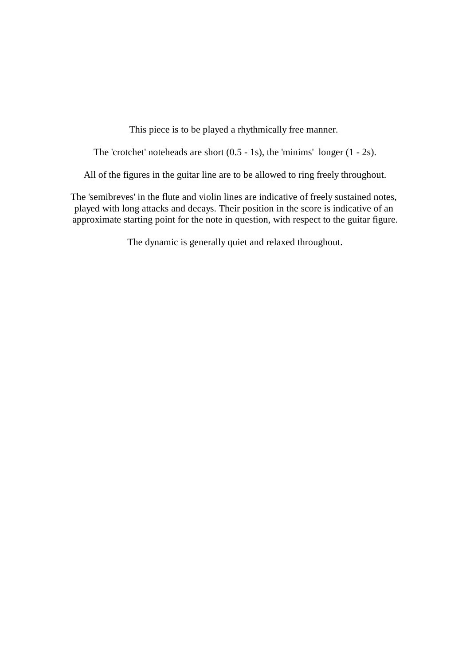This piece is to be played a rhythmically free manner.

The 'crotchet' noteheads are short  $(0.5 - 1s)$ , the 'minims' longer  $(1 - 2s)$ .

All of the figures in the guitar line are to be allowed to ring freely throughout.

The 'semibreves' in the flute and violin lines are indicative of freely sustained notes, played with long attacks and decays. Their position in the score is indicative of an approximate starting point for the note in question, with respect to the guitar figure.

The dynamic is generally quiet and relaxed throughout.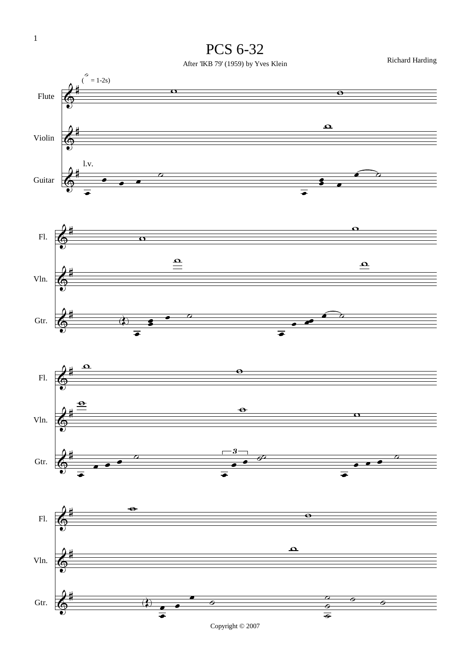## PCS 6-32

## Richard Harding After 'IKB 79' (1959) by Yves Klein

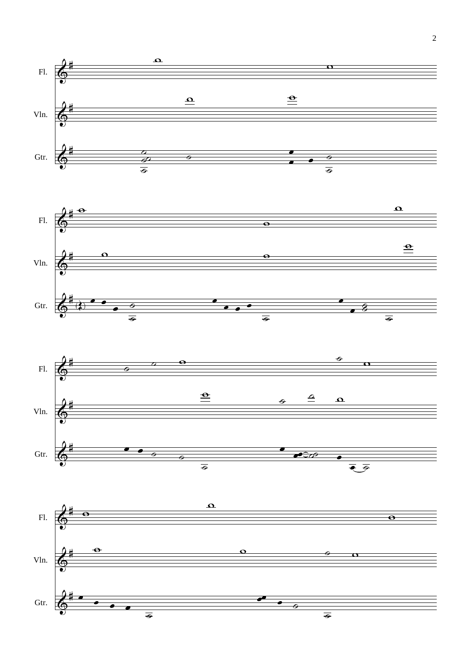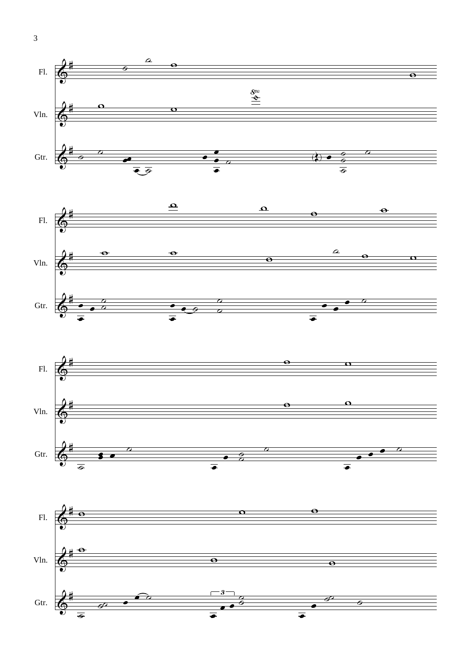

3